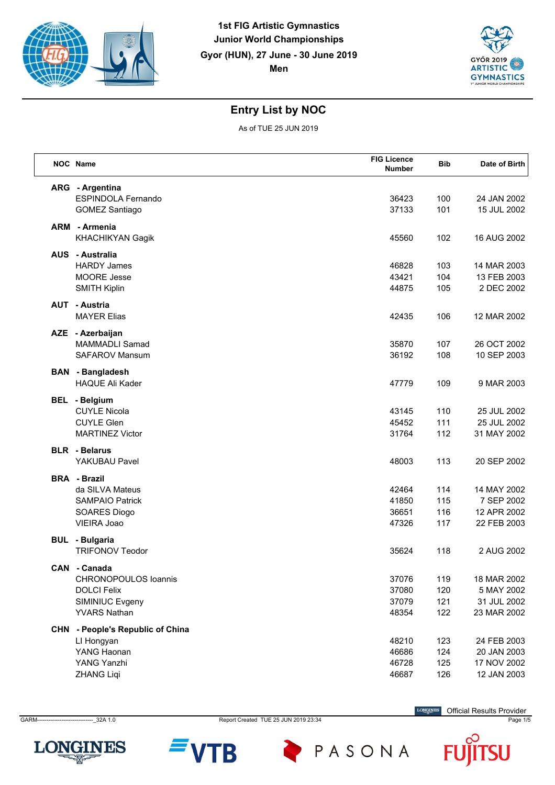



As of TUE 25 JUN 2019

|     | NOC Name                                                                                                    | <b>FIG Licence</b><br><b>Number</b> | <b>Bib</b>               | Date of Birth                                            |
|-----|-------------------------------------------------------------------------------------------------------------|-------------------------------------|--------------------------|----------------------------------------------------------|
|     | ARG - Argentina<br><b>ESPINDOLA Fernando</b><br><b>GOMEZ Santiago</b>                                       | 36423<br>37133                      | 100<br>101               | 24 JAN 2002<br>15 JUL 2002                               |
| ARM | - Armenia<br>KHACHIKYAN Gagik                                                                               | 45560                               | 102                      | 16 AUG 2002                                              |
|     | <b>AUS</b> - Australia<br><b>HARDY James</b><br>MOORE Jesse<br><b>SMITH Kiplin</b>                          | 46828<br>43421<br>44875             | 103<br>104<br>105        | 14 MAR 2003<br>13 FEB 2003<br>2 DEC 2002                 |
|     | <b>AUT - Austria</b><br><b>MAYER Elias</b>                                                                  | 42435                               | 106                      | 12 MAR 2002                                              |
|     | AZE - Azerbaijan<br><b>MAMMADLI Samad</b><br><b>SAFAROV Mansum</b>                                          | 35870<br>36192                      | 107<br>108               | 26 OCT 2002<br>10 SEP 2003                               |
|     | <b>BAN</b> - Bangladesh<br><b>HAQUE Ali Kader</b>                                                           | 47779                               | 109                      | 9 MAR 2003                                               |
|     | <b>BEL</b> - Belgium<br><b>CUYLE Nicola</b><br><b>CUYLE Glen</b><br><b>MARTINEZ Victor</b>                  | 43145<br>45452<br>31764             | 110<br>111<br>112        | 25 JUL 2002<br>25 JUL 2002<br>31 MAY 2002                |
|     | <b>BLR</b> - Belarus<br>YAKUBAU Pavel                                                                       | 48003                               | 113                      | 20 SEP 2002                                              |
|     | <b>BRA</b> - Brazil<br>da SILVA Mateus<br><b>SAMPAIO Patrick</b><br>SOARES Diogo<br>VIEIRA Joao             | 42464<br>41850<br>36651<br>47326    | 114<br>115<br>116<br>117 | 14 MAY 2002<br>7 SEP 2002<br>12 APR 2002<br>22 FEB 2003  |
|     | <b>BUL</b> - Bulgaria<br><b>TRIFONOV Teodor</b>                                                             | 35624                               | 118                      | 2 AUG 2002                                               |
|     | CAN - Canada<br><b>CHRONOPOULOS loannis</b><br><b>DOLCI Felix</b><br>SIMINIUC Evgeny<br><b>YVARS Nathan</b> | 37076<br>37080<br>37079<br>48354    | 119<br>120<br>121<br>122 | 18 MAR 2002<br>5 MAY 2002<br>31 JUL 2002<br>23 MAR 2002  |
|     | CHN - People's Republic of China<br>LI Hongyan<br>YANG Haonan<br>YANG Yanzhi<br><b>ZHANG Liqi</b>           | 48210<br>46686<br>46728<br>46687    | 123<br>124<br>125<br>126 | 24 FEB 2003<br>20 JAN 2003<br>17 NOV 2002<br>12 JAN 2003 |



B

PASONA

Official Results Provider

F

SU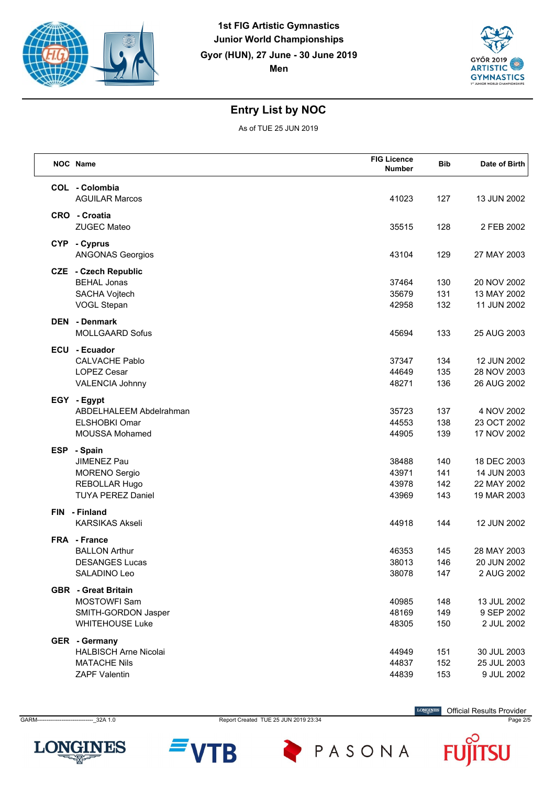



As of TUE 25 JUN 2019

| NOC Name                                                                                               | <b>FIG Licence</b><br><b>Number</b> | <b>Bib</b>               | Date of Birth                                            |
|--------------------------------------------------------------------------------------------------------|-------------------------------------|--------------------------|----------------------------------------------------------|
| COL - Colombia<br><b>AGUILAR Marcos</b>                                                                | 41023                               | 127                      | 13 JUN 2002                                              |
| CRO - Croatia<br><b>ZUGEC Mateo</b>                                                                    | 35515                               | 128                      | 2 FEB 2002                                               |
| CYP - Cyprus<br><b>ANGONAS Georgios</b>                                                                | 43104                               | 129                      | 27 MAY 2003                                              |
| <b>CZE</b> - Czech Republic<br><b>BEHAL Jonas</b><br><b>SACHA Vojtech</b><br>VOGL Stepan               | 37464<br>35679<br>42958             | 130<br>131<br>132        | 20 NOV 2002<br>13 MAY 2002<br>11 JUN 2002                |
| <b>DEN</b> - Denmark<br><b>MOLLGAARD Sofus</b>                                                         | 45694                               | 133                      | 25 AUG 2003                                              |
| ECU - Ecuador<br><b>CALVACHE Pablo</b><br><b>LOPEZ Cesar</b><br>VALENCIA Johnny                        | 37347<br>44649<br>48271             | 134<br>135<br>136        | 12 JUN 2002<br>28 NOV 2003<br>26 AUG 2002                |
| EGY - Egypt<br>ABDELHALEEM Abdelrahman<br><b>ELSHOBKI Omar</b><br><b>MOUSSA Mohamed</b>                | 35723<br>44553<br>44905             | 137<br>138<br>139        | 4 NOV 2002<br>23 OCT 2002<br>17 NOV 2002                 |
| ESP - Spain<br>JIMENEZ Pau<br><b>MORENO</b> Sergio<br><b>REBOLLAR Hugo</b><br><b>TUYA PEREZ Daniel</b> | 38488<br>43971<br>43978<br>43969    | 140<br>141<br>142<br>143 | 18 DEC 2003<br>14 JUN 2003<br>22 MAY 2002<br>19 MAR 2003 |
| FIN - Finland<br><b>KARSIKAS Akseli</b>                                                                | 44918                               | 144                      | 12 JUN 2002                                              |
| FRA - France<br><b>BALLON Arthur</b><br><b>DESANGES Lucas</b><br>SALADINO Leo                          | 46353<br>38013<br>38078             | 145<br>146<br>147        | 28 MAY 2003<br>20 JUN 2002<br>2 AUG 2002                 |
| <b>GBR</b> - Great Britain<br><b>MOSTOWFI Sam</b><br>SMITH-GORDON Jasper<br><b>WHITEHOUSE Luke</b>     | 40985<br>48169<br>48305             | 148<br>149<br>150        | 13 JUL 2002<br>9 SEP 2002<br>2 JUL 2002                  |
| GER - Germany<br><b>HALBISCH Arne Nicolai</b><br><b>MATACHE Nils</b><br><b>ZAPF Valentin</b>           | 44949<br>44837<br>44839             | 151<br>152<br>153        | 30 JUL 2003<br>25 JUL 2003<br>9 JUL 2002                 |



B

PASONA

Official Results Provider

F

SU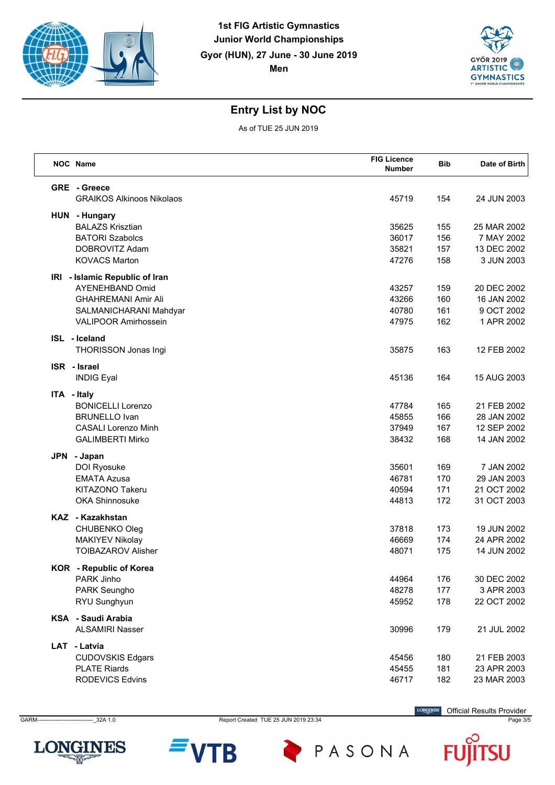



As of TUE 25 JUN 2019

| NOC Name                                         | <b>FIG Licence</b><br><b>Number</b> | <b>Bib</b> | Date of Birth |
|--------------------------------------------------|-------------------------------------|------------|---------------|
| GRE - Greece<br><b>GRAIKOS Alkinoos Nikolaos</b> | 45719                               | 154        | 24 JUN 2003   |
| HUN - Hungary                                    |                                     |            |               |
| <b>BALAZS Krisztian</b>                          | 35625                               | 155        | 25 MAR 2002   |
| <b>BATORI Szabolcs</b>                           | 36017                               | 156        | 7 MAY 2002    |
| DOBROVITZ Adam                                   | 35821                               | 157        | 13 DEC 2002   |
| <b>KOVACS Marton</b>                             | 47276                               | 158        | 3 JUN 2003    |
| IRI - Islamic Republic of Iran                   |                                     |            |               |
| <b>AYENEHBAND Omid</b>                           | 43257                               | 159        | 20 DEC 2002   |
| <b>GHAHREMANI Amir Ali</b>                       | 43266                               | 160        | 16 JAN 2002   |
| SALMANICHARANI Mahdyar                           | 40780                               | 161        | 9 OCT 2002    |
| <b>VALIPOOR Amirhossein</b>                      | 47975                               | 162        | 1 APR 2002    |
| ISL - Iceland                                    |                                     |            |               |
| THORISSON Jonas Ingi                             | 35875                               | 163        | 12 FEB 2002   |
| <b>ISR</b> - Israel<br><b>INDIG Eyal</b>         | 45136                               | 164        | 15 AUG 2003   |
| ITA - Italy                                      |                                     |            |               |
| <b>BONICELLI Lorenzo</b>                         | 47784                               | 165        | 21 FEB 2002   |
| <b>BRUNELLO Ivan</b>                             | 45855                               | 166        | 28 JAN 2002   |
| <b>CASALI Lorenzo Minh</b>                       | 37949                               | 167        | 12 SEP 2002   |
| <b>GALIMBERTI Mirko</b>                          | 38432                               | 168        | 14 JAN 2002   |
| JPN - Japan                                      |                                     |            |               |
| DOI Ryosuke                                      | 35601                               | 169        | 7 JAN 2002    |
| <b>EMATA Azusa</b>                               | 46781                               | 170        | 29 JAN 2003   |
| KITAZONO Takeru                                  | 40594                               | 171        | 21 OCT 2002   |
| <b>OKA Shinnosuke</b>                            | 44813                               | 172        | 31 OCT 2003   |
| KAZ - Kazakhstan                                 |                                     |            |               |
| CHUBENKO Oleg                                    | 37818                               | 173        | 19 JUN 2002   |
| <b>MAKIYEV Nikolay</b>                           | 46669                               | 174        | 24 APR 2002   |
| <b>TOIBAZAROV Alisher</b>                        | 48071                               | 175        | 14 JUN 2002   |
| <b>KOR</b> - Republic of Korea                   |                                     |            |               |
| PARK Jinho                                       | 44964                               | 176        | 30 DEC 2002   |
| PARK Seungho                                     | 48278                               | 177        | 3 APR 2003    |
| RYU Sunghyun                                     | 45952                               | 178        | 22 OCT 2002   |
| KSA - Saudi Arabia                               |                                     |            |               |
| <b>ALSAMIRI Nasser</b>                           | 30996                               | 179        | 21 JUL 2002   |
| LAT - Latvia                                     |                                     |            |               |
| <b>CUDOVSKIS Edgars</b>                          | 45456                               | 180        | 21 FEB 2003   |
| <b>PLATE Riards</b>                              | 45455                               | 181        | 23 APR 2003   |
| <b>RODEVICS Edvins</b>                           | 46717                               | 182        | 23 MAR 2003   |



GARM------------------------------\_32A 1.0 Report Created TUE 25 JUN 2019 23:34 Page 3/5

B

PASONA

Official Results Provider

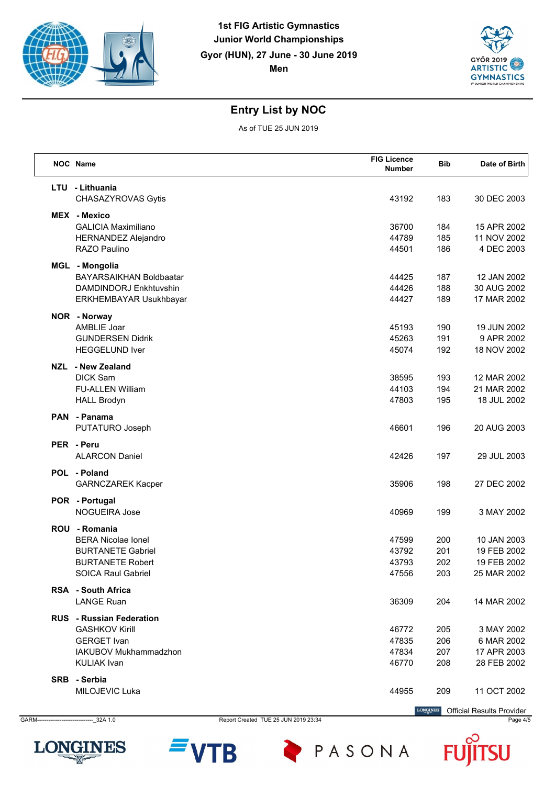



As of TUE 25 JUN 2019

| NOC Name                                                                                                                       | <b>FIG Licence</b><br><b>Number</b> | <b>Bib</b>               | Date of Birth                                            |
|--------------------------------------------------------------------------------------------------------------------------------|-------------------------------------|--------------------------|----------------------------------------------------------|
| LTU - Lithuania<br>CHASAZYROVAS Gytis                                                                                          | 43192                               | 183                      | 30 DEC 2003                                              |
| MEX - Mexico<br><b>GALICIA Maximiliano</b><br><b>HERNANDEZ Alejandro</b><br>RAZO Paulino                                       | 36700<br>44789<br>44501             | 184<br>185<br>186        | 15 APR 2002<br>11 NOV 2002<br>4 DEC 2003                 |
| MGL - Mongolia<br><b>BAYARSAIKHAN Boldbaatar</b><br>DAMDINDORJ Enkhtuvshin<br>ERKHEMBAYAR Usukhbayar                           | 44425<br>44426<br>44427             | 187<br>188<br>189        | 12 JAN 2002<br>30 AUG 2002<br>17 MAR 2002                |
| NOR - Norway<br>AMBLIE Joar<br><b>GUNDERSEN Didrik</b><br><b>HEGGELUND Iver</b>                                                | 45193<br>45263<br>45074             | 190<br>191<br>192        | 19 JUN 2002<br>9 APR 2002<br>18 NOV 2002                 |
| NZL - New Zealand<br><b>DICK Sam</b><br><b>FU-ALLEN William</b><br><b>HALL Brodyn</b>                                          | 38595<br>44103<br>47803             | 193<br>194<br>195        | 12 MAR 2002<br>21 MAR 2002<br>18 JUL 2002                |
| PAN - Panama<br>PUTATURO Joseph                                                                                                | 46601                               | 196                      | 20 AUG 2003                                              |
| PER - Peru<br><b>ALARCON Daniel</b>                                                                                            | 42426                               | 197                      | 29 JUL 2003                                              |
| POL - Poland<br><b>GARNCZAREK Kacper</b>                                                                                       | 35906                               | 198                      | 27 DEC 2002                                              |
| POR - Portugal<br>NOGUEIRA Jose                                                                                                | 40969                               | 199                      | 3 MAY 2002                                               |
| ROU - Romania<br><b>BERA Nicolae Ionel</b><br><b>BURTANETE Gabriel</b><br><b>BURTANETE Robert</b><br><b>SOICA Raul Gabriel</b> | 47599<br>43792<br>43793<br>47556    | 200<br>201<br>202<br>203 | 10 JAN 2003<br>19 FEB 2002<br>19 FEB 2002<br>25 MAR 2002 |
| <b>RSA</b> - South Africa<br><b>LANGE Ruan</b>                                                                                 | 36309                               | 204                      | 14 MAR 2002                                              |
| <b>RUS</b> - Russian Federation<br><b>GASHKOV Kirill</b><br><b>GERGET</b> Ivan<br>IAKUBOV Mukhammadzhon<br><b>KULIAK Ivan</b>  | 46772<br>47835<br>47834<br>46770    | 205<br>206<br>207<br>208 | 3 MAY 2002<br>6 MAR 2002<br>17 APR 2003<br>28 FEB 2002   |
| SRB - Serbia<br>MILOJEVIC Luka                                                                                                 | 44955                               | 209                      | 11 OCT 2002                                              |

B



GARM------------------------------\_32A 1.0 Report Created TUE 25 JUN 2019 23:34 Page 4/5

PASONA

**LONGINES** Official Results Provider

SU F